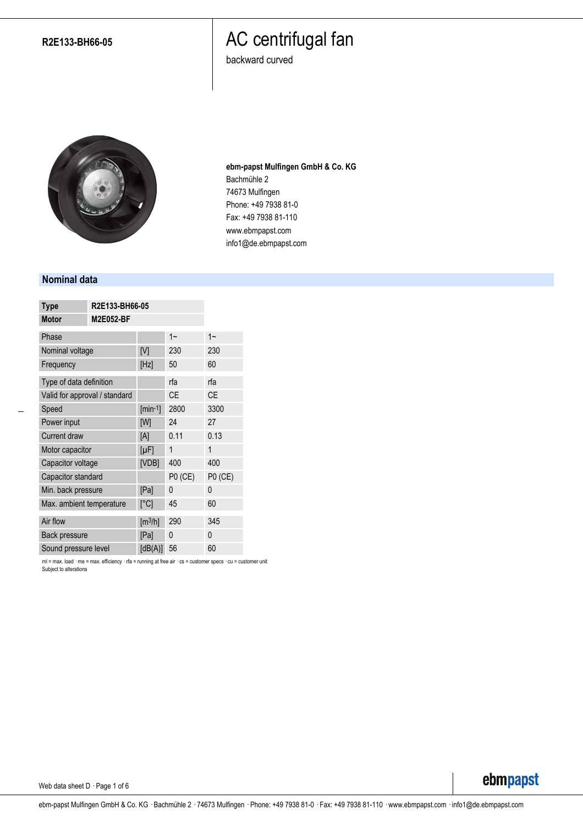#### **R2E133-BH66-05**

### AC centrifugal fan

backward curved



**ebm-papst Mulfingen GmbH & Co. KG** Bachmühle 2 74673 Mulfingen Phone: +49 7938 81-0 Fax: +49 7938 81-110 www.ebmpapst.com info1@de.ebmpapst.com

#### **Nominal data**

| <b>Type</b>                   | R2E133-BH66-05   |                              |                |           |
|-------------------------------|------------------|------------------------------|----------------|-----------|
| <b>Motor</b>                  | <b>M2E052-BF</b> |                              |                |           |
| Phase                         |                  |                              | $1 -$          | $1 -$     |
| Nominal voltage               |                  | [V]                          | 230            | 230       |
| Frequency                     |                  | [Hz]                         | 50             | 60        |
| Type of data definition       |                  |                              | rfa            | rfa       |
| Valid for approval / standard |                  |                              | <b>CE</b>      | <b>CE</b> |
| Speed                         |                  | $[min-1]$                    | 2800           | 3300      |
| Power input                   |                  | [W]                          | 24             | 27        |
| <b>Current draw</b>           |                  | [A]                          | 0.11           | 0.13      |
| Motor capacitor               |                  | $[\mu F]$                    | 1              | 1         |
| Capacitor voltage             |                  | [VDB]                        | 400            | 400       |
| Capacitor standard            |                  |                              | <b>P0 (CE)</b> | P0 (CE)   |
| Min. back pressure            |                  | [Pa]                         | 0              | 0         |
| Max. ambient temperature      |                  | [°C]                         | 45             | 60        |
| Air flow                      |                  | $\left[\frac{m^3}{h}\right]$ | 290            | 345       |
| Back pressure                 |                  | [Pa]                         | 0              | 0         |
| Sound pressure level          |                  | [dB(A)]                      | 56             | 60        |

ml = max. load · me = max. efficiency · rfa = running at free air · cs = customer specs · cu = customer unit Subject to alterations

Web data sheet D · Page 1 of 6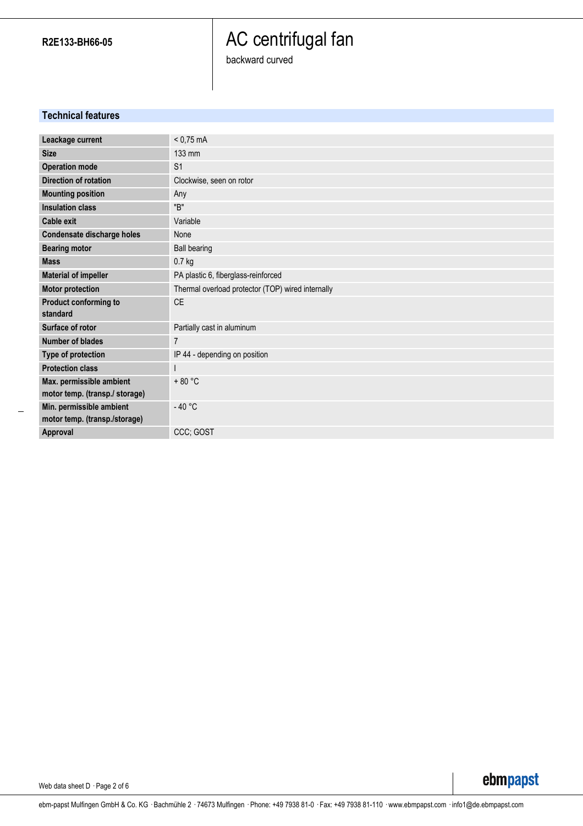# AC centrifugal fan

backward curved

### **Technical features**

| Leackage current                                          | $< 0.75$ mA                                       |
|-----------------------------------------------------------|---------------------------------------------------|
| <b>Size</b>                                               | 133 mm                                            |
| <b>Operation mode</b>                                     | S <sub>1</sub>                                    |
| Direction of rotation                                     | Clockwise, seen on rotor                          |
| <b>Mounting position</b>                                  | Any                                               |
| <b>Insulation class</b>                                   | "B"                                               |
| <b>Cable exit</b>                                         | Variable                                          |
| Condensate discharge holes                                | None                                              |
| <b>Bearing motor</b>                                      | <b>Ball bearing</b>                               |
| <b>Mass</b>                                               | $0.7$ kg                                          |
| <b>Material of impeller</b>                               | PA plastic 6, fiberglass-reinforced               |
| <b>Motor protection</b>                                   | Thermal overload protector (TOP) wired internally |
| Product conforming to                                     | <b>CE</b>                                         |
| standard                                                  |                                                   |
| Surface of rotor                                          | Partially cast in aluminum                        |
| <b>Number of blades</b>                                   | $\overline{7}$                                    |
| Type of protection                                        | IP 44 - depending on position                     |
| <b>Protection class</b>                                   |                                                   |
| Max. permissible ambient                                  | $+80 °C$                                          |
| motor temp. (transp./ storage)                            |                                                   |
| Min. permissible ambient<br>motor temp. (transp./storage) | $-40 °C$                                          |
| Approval                                                  | CCC; GOST                                         |

Web data sheet D · Page 2 of 6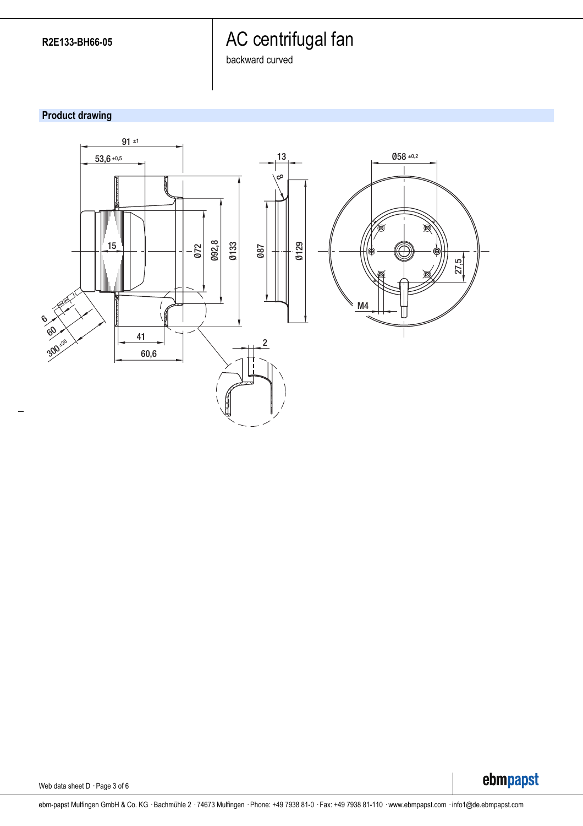# AC centrifugal fan

backward curved

### **Product drawing**



Web data sheet D · Page 3 of 6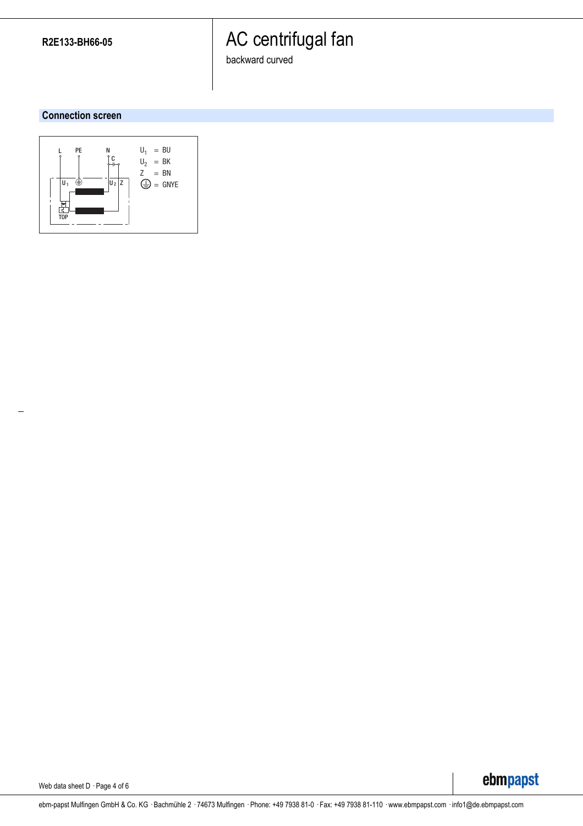# AC centrifugal fan

backward curved

#### **Connection screen**



ebmpapst

Web data sheet D · Page 4 of 6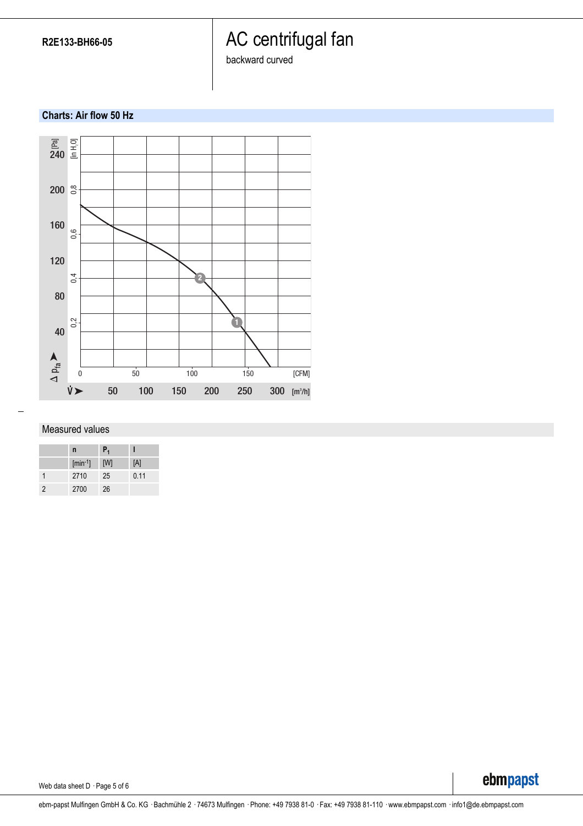**R2E133-BH66-05**

### AC centrifugal fan

backward curved

### **Charts: Air flow 50 Hz**



#### Measured values

|                | n         | $P_1$ |      |
|----------------|-----------|-------|------|
|                | $[min-1]$ | [W]   | [A]  |
|                | 2710      | 25    | 0.11 |
| $\mathfrak{p}$ | 2700      | 26    |      |

Web data sheet D · Page 5 of 6